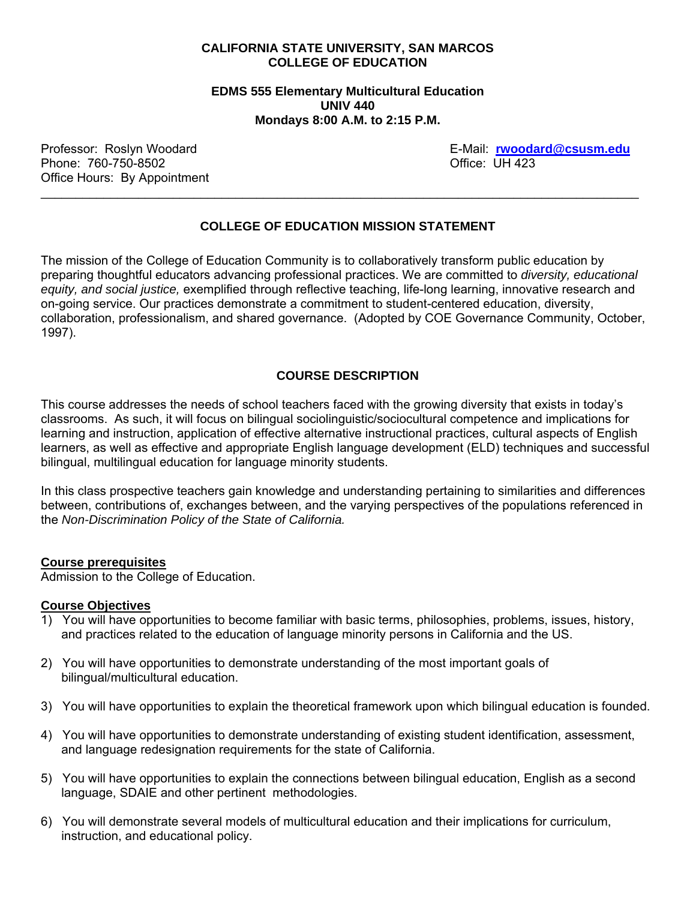## **CALIFORNIA STATE UNIVERSITY, SAN MARCOS COLLEGE OF EDUCATION**

**EDMS 555 Elementary Multicultural Education UNIV 440 Mondays 8:00 A.M. to 2:15 P.M.** 

Phone: 760-750-8502 **Department 10 and 20 and 20 and 20 and 20 and 20 and 20 and 20 and 20 and 20 and 20 and 20 and 20 and 20 and 20 and 20 and 20 and 20 and 20 and 20 and 20 and 20 and 20 and 20 and 20 and 20 and 20 and 2** Office Hours: By Appointment

Professor: Roslyn Woodard E-Mail: **rwoodard@csusm.edu**

# **COLLEGE OF EDUCATION MISSION STATEMENT**

\_\_\_\_\_\_\_\_\_\_\_\_\_\_\_\_\_\_\_\_\_\_\_\_\_\_\_\_\_\_\_\_\_\_\_\_\_\_\_\_\_\_\_\_\_\_\_\_\_\_\_\_\_\_\_\_\_\_\_\_\_\_\_\_\_\_\_\_\_\_\_\_\_\_\_\_\_\_\_\_\_\_\_\_\_\_

The mission of the College of Education Community is to collaboratively transform public education by preparing thoughtful educators advancing professional practices. We are committed to *diversity, educational equity, and social justice,* exemplified through reflective teaching, life-long learning, innovative research and on-going service. Our practices demonstrate a commitment to student-centered education, diversity, collaboration, professionalism, and shared governance. (Adopted by COE Governance Community, October, 1997).

# **COURSE DESCRIPTION**

This course addresses the needs of school teachers faced with the growing diversity that exists in today's classrooms. As such, it will focus on bilingual sociolinguistic/sociocultural competence and implications for learning and instruction, application of effective alternative instructional practices, cultural aspects of English learners, as well as effective and appropriate English language development (ELD) techniques and successful bilingual, multilingual education for language minority students.

In this class prospective teachers gain knowledge and understanding pertaining to similarities and differences between, contributions of, exchanges between, and the varying perspectives of the populations referenced in the *Non-Discrimination Policy of the State of California.*

#### **Course prerequisites**

Admission to the College of Education.

#### **Course Objectives**

- 1) You will have opportunities to become familiar with basic terms, philosophies, problems, issues, history, and practices related to the education of language minority persons in California and the US.
- 2) You will have opportunities to demonstrate understanding of the most important goals of bilingual/multicultural education.
- 3) You will have opportunities to explain the theoretical framework upon which bilingual education is founded.
- 4) You will have opportunities to demonstrate understanding of existing student identification, assessment, and language redesignation requirements for the state of California.
- 5) You will have opportunities to explain the connections between bilingual education, English as a second language, SDAIE and other pertinent methodologies.
- 6) You will demonstrate several models of multicultural education and their implications for curriculum, instruction, and educational policy.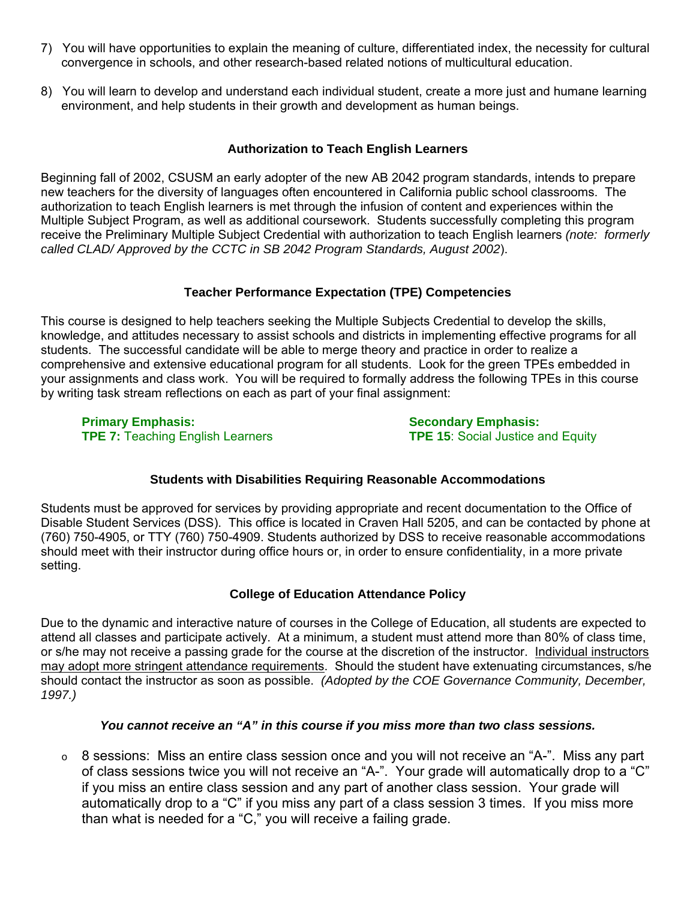- 7) You will have opportunities to explain the meaning of culture, differentiated index, the necessity for cultural convergence in schools, and other research-based related notions of multicultural education.
- 8) You will learn to develop and understand each individual student, create a more just and humane learning environment, and help students in their growth and development as human beings.

# **Authorization to Teach English Learners**

Beginning fall of 2002, CSUSM an early adopter of the new AB 2042 program standards, intends to prepare new teachers for the diversity of languages often encountered in California public school classrooms. The authorization to teach English learners is met through the infusion of content and experiences within the Multiple Subject Program, as well as additional coursework. Students successfully completing this program receive the Preliminary Multiple Subject Credential with authorization to teach English learners *(note: formerly called CLAD/ Approved by the CCTC in SB 2042 Program Standards, August 2002*).

# **Teacher Performance Expectation (TPE) Competencies**

This course is designed to help teachers seeking the Multiple Subjects Credential to develop the skills, knowledge, and attitudes necessary to assist schools and districts in implementing effective programs for all students. The successful candidate will be able to merge theory and practice in order to realize a comprehensive and extensive educational program for all students. Look for the green TPEs embedded in your assignments and class work. You will be required to formally address the following TPEs in this course by writing task stream reflections on each as part of your final assignment:

**Primary Emphasis: Secondary Emphasis:** Secondary Emphasis: **TPE 7:** Teaching English Learners **TPE 15:** Social Justice and Equity

# **Students with Disabilities Requiring Reasonable Accommodations**

Students must be approved for services by providing appropriate and recent documentation to the Office of Disable Student Services (DSS). This office is located in Craven Hall 5205, and can be contacted by phone at (760) 750-4905, or TTY (760) 750-4909. Students authorized by DSS to receive reasonable accommodations should meet with their instructor during office hours or, in order to ensure confidentiality, in a more private setting.

# **College of Education Attendance Policy**

Due to the dynamic and interactive nature of courses in the College of Education, all students are expected to attend all classes and participate actively. At a minimum, a student must attend more than 80% of class time, or s/he may not receive a passing grade for the course at the discretion of the instructor. Individual instructors may adopt more stringent attendance requirements. Should the student have extenuating circumstances, s/he should contact the instructor as soon as possible. *(Adopted by the COE Governance Community, December, 1997.)* 

# *You cannot receive an "A" in this course if you miss more than two class sessions.*

o 8 sessions: Miss an entire class session once and you will not receive an "A-". Miss any part of class sessions twice you will not receive an "A-". Your grade will automatically drop to a "C" if you miss an entire class session and any part of another class session. Your grade will automatically drop to a "C" if you miss any part of a class session 3 times. If you miss more than what is needed for a "C," you will receive a failing grade.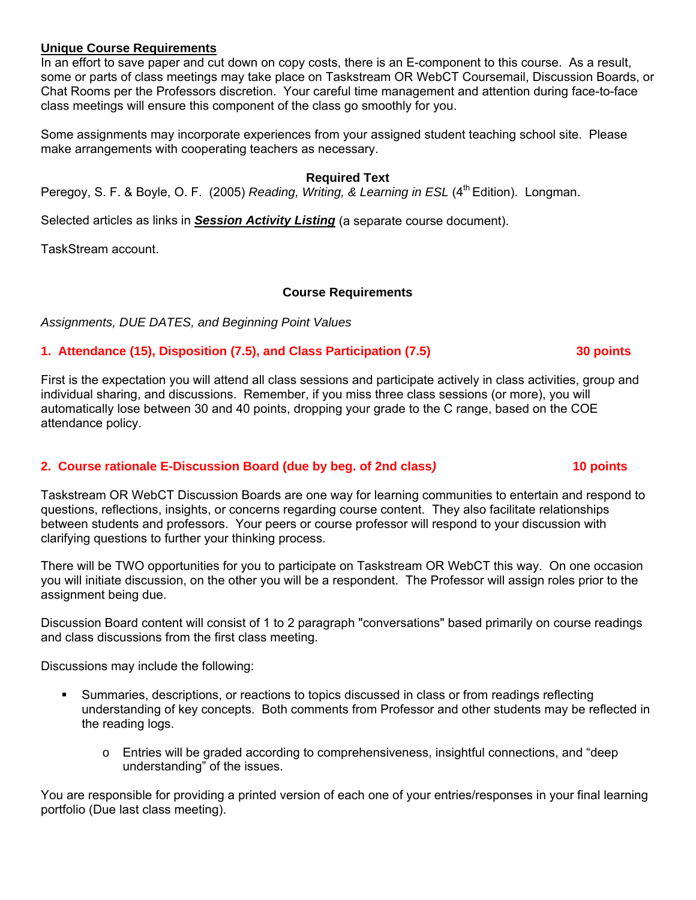### **Unique Course Requirements**

In an effort to save paper and cut down on copy costs, there is an E-component to this course. As a result, some or parts of class meetings may take place on Taskstream OR WebCT Coursemail, Discussion Boards, or Chat Rooms per the Professors discretion. Your careful time management and attention during face-to-face class meetings will ensure this component of the class go smoothly for you.

Some assignments may incorporate experiences from your assigned student teaching school site. Please make arrangements with cooperating teachers as necessary.

### **Required Text**

Peregoy, S. F. & Boyle, O. F. (2005) *Reading, Writing, & Learning in ESL* (4<sup>th</sup> Edition). Longman.

Selected articles as links in *Session Activity Listing* (a separate course document).

TaskStream account.

# **Course Requirements**

*Assignments, DUE DATES, and Beginning Point Values* 

# **1. Attendance (15), Disposition (7.5), and Class Participation (7.5) 30 points**

First is the expectation you will attend all class sessions and participate actively in class activities, group and individual sharing, and discussions. Remember, if you miss three class sessions (or more), you will automatically lose between 30 and 40 points, dropping your grade to the C range, based on the COE attendance policy.

# **2. Course rationale E-Discussion Board (due by beg. of 2nd class***)* **10 points**

Taskstream OR WebCT Discussion Boards are one way for learning communities to entertain and respond to questions, reflections, insights, or concerns regarding course content. They also facilitate relationships between students and professors. Your peers or course professor will respond to your discussion with clarifying questions to further your thinking process.

There will be TWO opportunities for you to participate on Taskstream OR WebCT this way. On one occasion you will initiate discussion, on the other you will be a respondent. The Professor will assign roles prior to the assignment being due.

Discussion Board content will consist of 1 to 2 paragraph "conversations" based primarily on course readings and class discussions from the first class meeting.

Discussions may include the following:

- Summaries, descriptions, or reactions to topics discussed in class or from readings reflecting understanding of key concepts. Both comments from Professor and other students may be reflected in the reading logs.
	- o Entries will be graded according to comprehensiveness, insightful connections, and "deep understanding" of the issues.

You are responsible for providing a printed version of each one of your entries/responses in your final learning portfolio (Due last class meeting).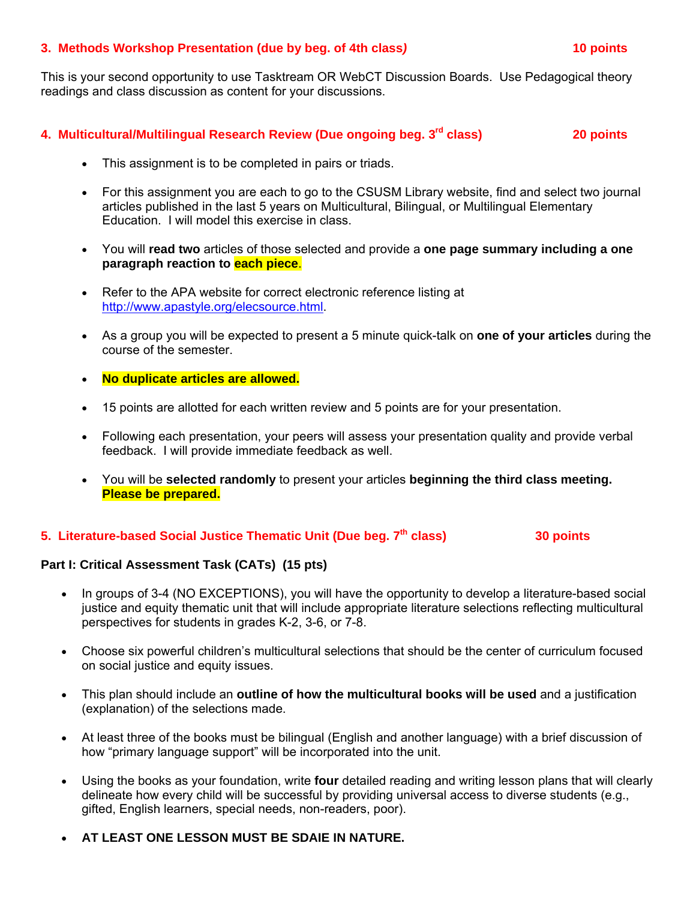### **3. Methods Workshop Presentation (due by beg. of 4th class***)* **10 points**

This is your second opportunity to use Tasktream OR WebCT Discussion Boards. Use Pedagogical theory readings and class discussion as content for your discussions.

# **4. Multicultural/Multilingual Research Review (Due ongoing beg. 3rd class) 20 points**

- This assignment is to be completed in pairs or triads.
- For this assignment you are each to go to the CSUSM Library website, find and select two journal articles published in the last 5 years on Multicultural, Bilingual, or Multilingual Elementary Education. I will model this exercise in class.
- You will **read two** articles of those selected and provide a **one page summary including a one paragraph reaction to each piece**.
- Refer to the APA website for correct electronic reference listing at http://www.apastyle.org/elecsource.html.
- As a group you will be expected to present a 5 minute quick-talk on **one of your articles** during the course of the semester.
- **No duplicate articles are allowed.**
- 15 points are allotted for each written review and 5 points are for your presentation.
- Following each presentation, your peers will assess your presentation quality and provide verbal feedback. I will provide immediate feedback as well.
- You will be **selected randomly** to present your articles **beginning the third class meeting. Please be prepared.**

## **5. Literature-based Social Justice Thematic Unit (Due beg. 7<sup>th</sup> class) 30 points 30 points**

# **Part I: Critical Assessment Task (CATs) (15 pts)**

- In groups of 3-4 (NO EXCEPTIONS), you will have the opportunity to develop a literature-based social justice and equity thematic unit that will include appropriate literature selections reflecting multicultural perspectives for students in grades K-2, 3-6, or 7-8.
- Choose six powerful children's multicultural selections that should be the center of curriculum focused on social justice and equity issues.
- This plan should include an **outline of how the multicultural books will be used** and a justification (explanation) of the selections made.
- At least three of the books must be bilingual (English and another language) with a brief discussion of how "primary language support" will be incorporated into the unit.
- Using the books as your foundation, write **four** detailed reading and writing lesson plans that will clearly delineate how every child will be successful by providing universal access to diverse students (e.g., gifted, English learners, special needs, non-readers, poor).
- **AT LEAST ONE LESSON MUST BE SDAIE IN NATURE.**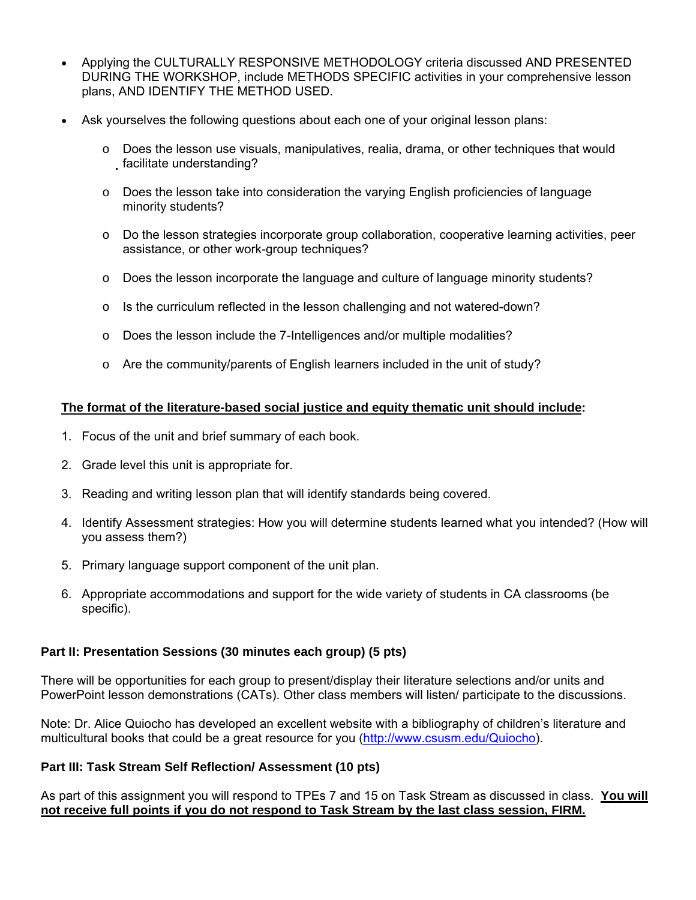- Applying the CULTURALLY RESPONSIVE METHODOLOGY criteria discussed AND PRESENTED DURING THE WORKSHOP, include METHODS SPECIFIC activities in your comprehensive lesson plans, AND IDENTIFY THE METHOD USED.
- Ask yourselves the following questions about each one of your original lesson plans:
	- $\circ$  Does the lesson use visuals, manipulatives, realia, drama, or other techniques that would facilitate understanding?
	- $\circ$  Does the lesson take into consideration the varying English proficiencies of language minority students?
	- $\circ$  Do the lesson strategies incorporate group collaboration, cooperative learning activities, peer assistance, or other work-group techniques?
	- o Does the lesson incorporate the language and culture of language minority students?
	- $\circ$  Is the curriculum reflected in the lesson challenging and not watered-down?
	- $\circ$  Does the lesson include the 7-Intelligences and/or multiple modalities?
	- $\circ$  Are the community/parents of English learners included in the unit of study?

# **The format of the literature-based social justice and equity thematic unit should include:**

- 1. Focus of the unit and brief summary of each book.
- 2. Grade level this unit is appropriate for.
- 3. Reading and writing lesson plan that will identify standards being covered.
- 4. Identify Assessment strategies: How you will determine students learned what you intended? (How will you assess them?)
- 5. Primary language support component of the unit plan.
- 6. Appropriate accommodations and support for the wide variety of students in CA classrooms (be specific).

# **Part II: Presentation Sessions (30 minutes each group) (5 pts)**

There will be opportunities for each group to present/display their literature selections and/or units and PowerPoint lesson demonstrations (CATs). Other class members will listen/ participate to the discussions.

Note: Dr. Alice Quiocho has developed an excellent website with a bibliography of children's literature and multicultural books that could be a great resource for you (http://www.csusm.edu/Quiocho).

# **Part III: Task Stream Self Reflection/ Assessment (10 pts)**

As part of this assignment you will respond to TPEs 7 and 15 on Task Stream as discussed in class. **You will not receive full points if you do not respond to Task Stream by the last class session, FIRM.**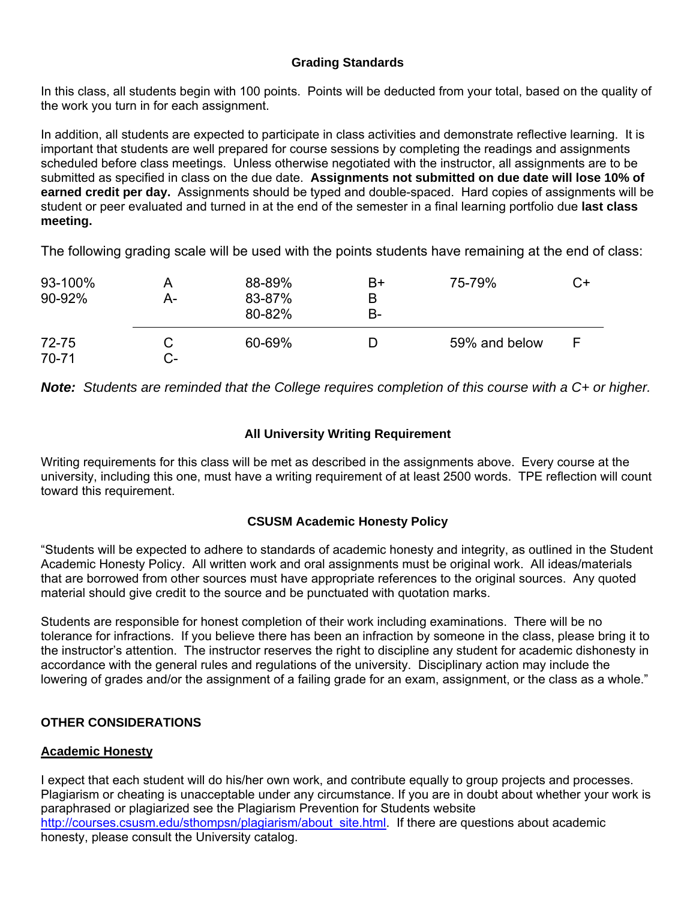# **Grading Standards**

In this class, all students begin with 100 points. Points will be deducted from your total, based on the quality of the work you turn in for each assignment.

In addition, all students are expected to participate in class activities and demonstrate reflective learning. It is important that students are well prepared for course sessions by completing the readings and assignments scheduled before class meetings. Unless otherwise negotiated with the instructor, all assignments are to be submitted as specified in class on the due date. **Assignments not submitted on due date will lose 10% of earned credit per day.** Assignments should be typed and double-spaced. Hard copies of assignments will be student or peer evaluated and turned in at the end of the semester in a final learning portfolio due **last class meeting.**

The following grading scale will be used with the points students have remaining at the end of class:

| 93-100%<br>90-92%      | А-      | 88-89%<br>83-87%<br>80-82% | B+<br>B<br>B- | 75-79%        | C+ |
|------------------------|---------|----------------------------|---------------|---------------|----|
| $72 - 75$<br>$70 - 71$ | С<br>C- | 60-69%                     | D             | 59% and below |    |

*Note: Students are reminded that the College requires completion of this course with a C+ or higher.*

# **All University Writing Requirement**

Writing requirements for this class will be met as described in the assignments above. Every course at the university, including this one, must have a writing requirement of at least 2500 words. TPE reflection will count toward this requirement.

# **CSUSM Academic Honesty Policy**

"Students will be expected to adhere to standards of academic honesty and integrity, as outlined in the Student Academic Honesty Policy. All written work and oral assignments must be original work. All ideas/materials that are borrowed from other sources must have appropriate references to the original sources. Any quoted material should give credit to the source and be punctuated with quotation marks.

Students are responsible for honest completion of their work including examinations. There will be no tolerance for infractions. If you believe there has been an infraction by someone in the class, please bring it to the instructor's attention. The instructor reserves the right to discipline any student for academic dishonesty in accordance with the general rules and regulations of the university. Disciplinary action may include the lowering of grades and/or the assignment of a failing grade for an exam, assignment, or the class as a whole."

# **OTHER CONSIDERATIONS**

# **Academic Honesty**

I expect that each student will do his/her own work, and contribute equally to group projects and processes. Plagiarism or cheating is unacceptable under any circumstance. If you are in doubt about whether your work is paraphrased or plagiarized see the Plagiarism Prevention for Students website http://courses.csusm.edu/sthompsn/plagiarism/about\_site.html. If there are questions about academic honesty, please consult the University catalog.